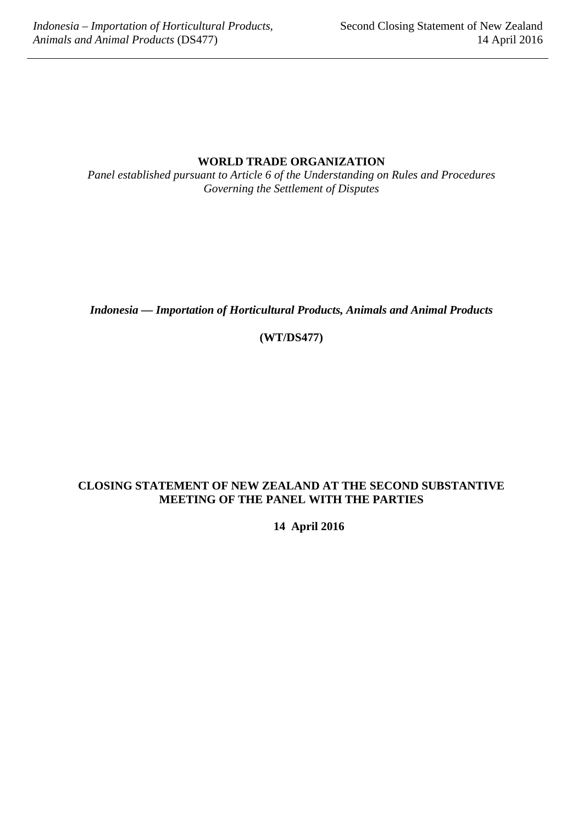## **WORLD TRADE ORGANIZATION**

*Panel established pursuant to Article 6 of the Understanding on Rules and Procedures Governing the Settlement of Disputes*

*Indonesia — Importation of Horticultural Products, Animals and Animal Products*

**(WT/DS477)**

## **CLOSING STATEMENT OF NEW ZEALAND AT THE SECOND SUBSTANTIVE MEETING OF THE PANEL WITH THE PARTIES**

**14 April 2016**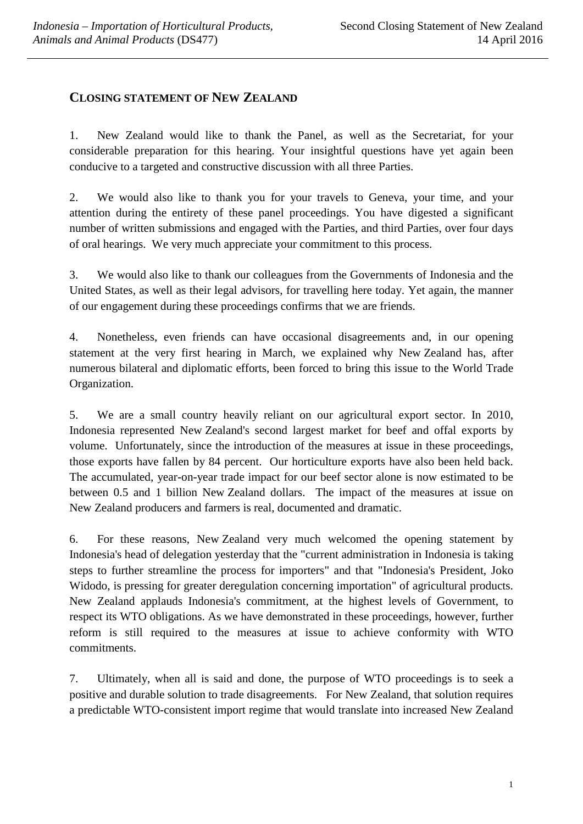## **CLOSING STATEMENT OF NEW ZEALAND**

1. New Zealand would like to thank the Panel, as well as the Secretariat, for your considerable preparation for this hearing. Your insightful questions have yet again been conducive to a targeted and constructive discussion with all three Parties.

2. We would also like to thank you for your travels to Geneva, your time, and your attention during the entirety of these panel proceedings. You have digested a significant number of written submissions and engaged with the Parties, and third Parties, over four days of oral hearings. We very much appreciate your commitment to this process.

3. We would also like to thank our colleagues from the Governments of Indonesia and the United States, as well as their legal advisors, for travelling here today. Yet again, the manner of our engagement during these proceedings confirms that we are friends.

4. Nonetheless, even friends can have occasional disagreements and, in our opening statement at the very first hearing in March, we explained why New Zealand has, after numerous bilateral and diplomatic efforts, been forced to bring this issue to the World Trade Organization.

5. We are a small country heavily reliant on our agricultural export sector. In 2010, Indonesia represented New Zealand's second largest market for beef and offal exports by volume. Unfortunately, since the introduction of the measures at issue in these proceedings, those exports have fallen by 84 percent. Our horticulture exports have also been held back. The accumulated, year-on-year trade impact for our beef sector alone is now estimated to be between 0.5 and 1 billion New Zealand dollars. The impact of the measures at issue on New Zealand producers and farmers is real, documented and dramatic.

6. For these reasons, New Zealand very much welcomed the opening statement by Indonesia's head of delegation yesterday that the "current administration in Indonesia is taking steps to further streamline the process for importers" and that "Indonesia's President, Joko Widodo, is pressing for greater deregulation concerning importation" of agricultural products. New Zealand applauds Indonesia's commitment, at the highest levels of Government, to respect its WTO obligations. As we have demonstrated in these proceedings, however, further reform is still required to the measures at issue to achieve conformity with WTO commitments.

7. Ultimately, when all is said and done, the purpose of WTO proceedings is to seek a positive and durable solution to trade disagreements. For New Zealand, that solution requires a predictable WTO-consistent import regime that would translate into increased New Zealand